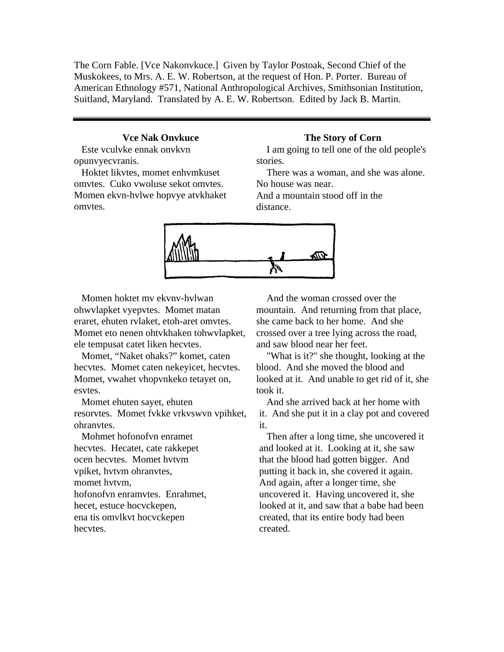The Corn Fable. [Vce Nakonvkuce.] Given by Taylor Postoak, Second Chief of the Muskokees, to Mrs. A. E. W. Robertson, at the request of Hon. P. Porter. Bureau of American Ethnology #571, National Anthropological Archives, Smithsonian Institution, Suitland, Maryland. Translated by A. E. W. Robertson. Edited by Jack B. Martin.

## **Vce Nak Onvkuce**

Este vculvke ennak onvkvn opunvyecvranis.

Hoktet likvtes, momet enhvmkuset omvtes. Cuko vwoluse sekot omvtes. Momen ekvn-hvlwe hopvye atvkhaket omvtes.

## **The Story of Corn**

I am going to tell one of the old people's stories.

There was a woman, and she was alone. No house was near.

And a mountain stood off in the distance.



Momen hoktet mv ekvnv-hvlwan ohwvlapket vyepvtes. Momet matan eraret, ehuten rvlaket, etoh-aret omvtes. Momet eto nenen ohtvkhaken tohwvlapket, ele tempusat catet liken hecvtes.

Momet, "Naket ohaks?" komet, caten hecvtes. Momet caten nekeyicet, hecvtes. Momet, vwahet vhopvnkeko tetayet on, esvtes.

Momet ehuten sayet, ehuten resorvtes. Momet fvkke vrkvswvn vpihket, ohranvtes.

Mohmet hofonofvn enramet hecvtes. Hecatet, cate rakkepet ocen hecvtes. Momet hvtvm vpiket, hvtvm ohranvtes, momet hvtvm, hofonofvn enramvtes. Enrahmet, hecet, estuce hocvckepen, ena tis omvlkvt hocvckepen hecvtes.

And the woman crossed over the mountain. And returning from that place, she came back to her home. And she crossed over a tree lying across the road, and saw blood near her feet.

"What is it?" she thought, looking at the blood. And she moved the blood and looked at it. And unable to get rid of it, she took it.

And she arrived back at her home with it. And she put it in a clay pot and covered it.

Then after a long time, she uncovered it and looked at it. Looking at it, she saw that the blood had gotten bigger. And putting it back in, she covered it again. And again, after a longer time, she uncovered it. Having uncovered it, she looked at it, and saw that a babe had been created, that its entire body had been created.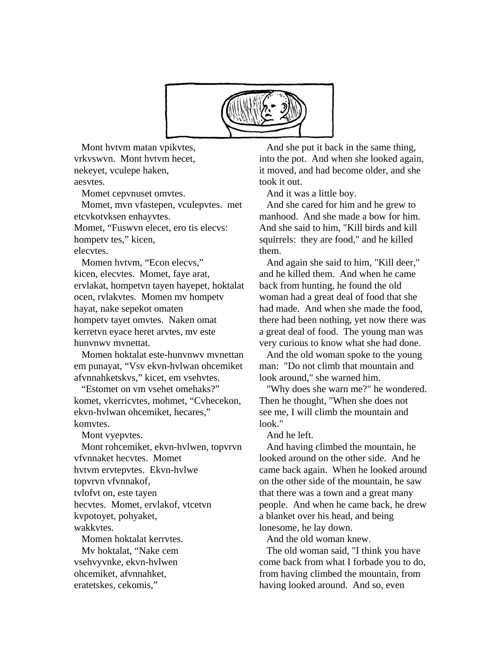

Mont hvtvm matan vpikvtes, vrkvswvn. Mont hvtvm hecet, nekeyet, vculepe haken, aesvtes.

Momet cepvnuset omvtes.

Momet, mvn vfastepen, vculepvtes. met etcvkotvksen enhayvtes. Momet, "Fuswvn elecet, ero tis elecvs: hompety tes," kicen,

elecvtes.

Momen hvtvm, "Econ elecvs," kicen, elecvtes. Momet, faye arat, ervlakat, hompetvn tayen hayepet, hoktalat ocen, rvlakvtes. Momen mv hompetv hayat, nake sepekot omaten hompetv tayet omvtes. Naken omat kerretvn eyace heret arvtes, mv este hunvnwv mvnettat.

Momen hoktalat este-hunvnwv mvnettan em punayat, "Vsv ekvn-hvlwan ohcemiket afvnnahketskvs," kicet, em vsehvtes.

"Estomet on vm vsehet omehaks?" komet, vkerricvtes, mohmet, "Cvhecekon, ekvn-hvlwan ohcemiket, hecares," komvtes.

Mont vyepvtes.

Mont rohcemiket, ekvn-hvlwen, topvrvn vfvnnaket hecvtes. Momet hvtvm ervtepvtes. Ekvn-hvlwe topvrvn vfvnnakof, tvlofvt on, este tayen hecvtes. Momet, ervlakof, vtcetvn kvpotoyet, pohyaket, wakkvtes. Momen hoktalat kerrvtes.

Mv hoktalat, "Nake cem vsehvyvnke, ekvn-hvlwen ohcemiket, afvnnahket, eratetskes, cekomis,"

And she put it back in the same thing, into the pot. And when she looked again, it moved, and had become older, and she took it out.

And it was a little boy.

And she cared for him and he grew to manhood. And she made a bow for him. And she said to him, "Kill birds and kill squirrels: they are food," and he killed them.

And again she said to him, "Kill deer," and he killed them. And when he came back from hunting, he found the old woman had a great deal of food that she had made. And when she made the food, there had been nothing, yet now there was a great deal of food. The young man was very curious to know what she had done.

And the old woman spoke to the young man: "Do not climb that mountain and look around," she warned him.

"Why does she warn me?" he wondered. Then he thought, "When she does not see me, I will climb the mountain and look."

And he left.

And having climbed the mountain, he looked around on the other side. And he came back again. When he looked around on the other side of the mountain, he saw that there was a town and a great many people. And when he came back, he drew a blanket over his head, and being lonesome, he lay down.

And the old woman knew.

The old woman said, "I think you have come back from what I forbade you to do, from having climbed the mountain, from having looked around. And so, even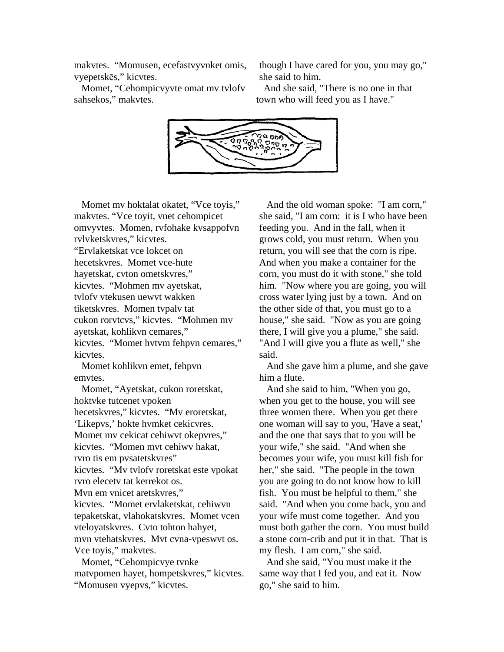makvtes. "Momusen, ecefastvyvnket omis, vyepetskēs," kicvtes.

though I have cared for you, you may go," she said to him.

Momet, "Cehompicvyvte omat mv tvlofv sahsekos," makvtes.

And she said, "There is no one in that town who will feed you as I have."



Momet mv hoktalat okatet, "Vce toyis," omvyvtes. Momen, rvfohake kvsappofvn "Ervlaketskat vce lokcet on , kicvtes. "Mohmen mv ayetskat cukon rorvtcvs," kicvtes. "Mohmen mv kicvtes. "Momet hvtvm fehpvn cemares," makvtes. "Vce toyit, vnet cehompicet rvlvketskvres," kicvtes. hecetskvres. Momet vce-hute hayetskat, cvton ometskvres," tvlofv vtekusen uewvt wakken tiketskvres. Momen tvpalv tat ayetskat, kohlikvn cemares," kicvtes.

Momet kohlikvn emet, fehpvn emvtes.

hecetskvres," kicvtes. "Mv eroretskat, Momet mv cekicat cehiwvt okepvres," kicvtes. "Mv tvlofv roretskat este vpokat kicvtes. "Momet ervlaketskat, cehiwvn tepaketskat, vlahokatskvres. Momet vcen mvn vtehatskvres. Mvt cvna-vpeswvt os. Momet, "Ayetskat, cukon roretskat, hoktvke tutcenet vpoken 'Likepvs,' hokte hvmket cekicvres. kicvtes. "Momen mvt cehiwv hakat, rvro tis em pvsatetskvres" rvro elecetv tat kerrekot os. Mvn em vnicet aretskvres," vteloyatskvres. Cvto tohton hahyet, Vce toyis," makvtes.

Momet, "Cehompicvye tvnke matvpomen hayet, hompetskvres," kicvtes. "Momusen vyepvs," kicvtes.

And the old woman spoke: "I am corn," grows cold, you must return. When you house," she said. "Now as you are going she said, "I am corn: it is I who have been feeding you. And in the fall, when it return, you will see that the corn is ripe. And when you make a container for the corn, you must do it with stone," she told him. "Now where you are going, you will cross water lying just by a town. And on the other side of that, you must go to a there, I will give you a plume," she said. "And I will give you a flute as well," she said.

And she gave him a plume, and she gave him a flute.

And she said to him, "When you go, said. "And when you come back, you and must both gather the corn. You must build when you get to the house, you will see three women there. When you get there one woman will say to you, 'Have a seat,' and the one that says that to you will be your wife," she said. "And when she becomes your wife, you must kill fish for her," she said. "The people in the town you are going to do not know how to kill fish. You must be helpful to them," she your wife must come together. And you a stone corn-crib and put it in that. That is my flesh. I am corn," she said.

And she said, "You must make it the same way that I fed you, and eat it. Now go," she said to him.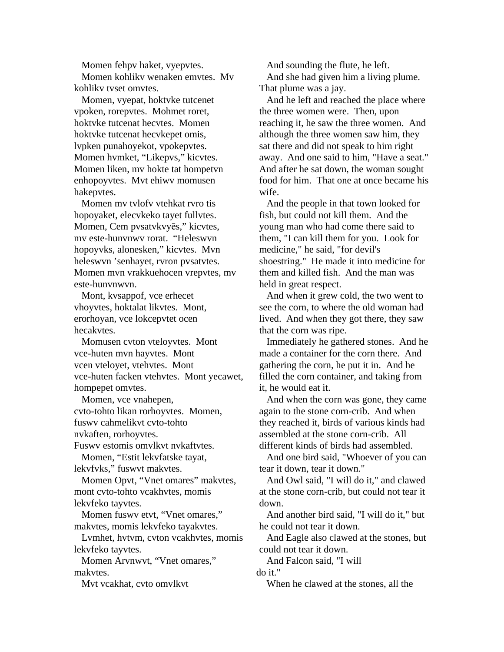Momen fehpv haket, vyepvtes. Momen kohlikv wenaken emvtes. Mv kohlikv tvset omvtes.

Momen, vyepat, hoktvke tutcenet vpoken, rorepvtes. Mohmet roret, hoktvke tutcenat hecvtes. Momen hoktvke tutcenat hecvkepet omis, lvpken punahoyekot, vpokepvtes. Momen hvmket, "Likepvs," kicvtes. Momen liken, mv hokte tat hompetvn enhopoyvtes. Mvt ehiwv momusen hakepvtes.

Momen mv tvlofv vtehkat rvro tis Momen mvn vrakkuehocen vrepvtes, mv hopoyaket, elecvkeko tayet fullvtes. Momen, Cem pvsatvkvyēs," kicvtes, mv este-hunvnwv rorat. "Heleswvn hopoyvks, alonesken," kicvtes. Mvn heleswvn 'senhayet, rvron pvsatvtes. este-hunvnwvn.

Mont, kvsappof, vce erhecet vhoyvtes, hoktalat likvtes. Mont, erorhoyan, vce lokcepvtet ocen hecakvtes.

Momusen cvton vteloyvtes. Mont vce-huten facken vtehvtes. Mont yecawet, vce-huten mvn hayvtes. Mont vcen vteloyet, vtehvtes. Mont hompepet omvtes.

Momen, vce vnahepen, cvto-tohto likan rorhoyvtes. Momen, fuswv cahmelikvt cvto-tohto nvkaften, rorhoyvtes.

Fuswv estomis omvlkvt nvkaftvtes.

Momen, "Estit lekvfatske tayat, lekvfvks," fuswvt makvtes.

Momen Opvt, "Vnet omares" makvtes, mont cvto-tohto vcakhvtes, momis lekvfeko tayvtes.

Momen fuswy etvt, "Vnet omares," makvtes, momis lekvfeko tayakvtes.

Lvmhet, hvtvm, cvton vcakhvtes, momis lekvfeko tayvtes.

Momen Arvnwvt, "Vnet omares," makvtes.

Mvt vcakhat, cvto omvlkvt

And sounding the flute, he left. And she had given him a living plume. That plume was a jay.

And he left and reached the place where reaching it, he saw the three women. And away. And one said to him, "Have a seat." the three women were. Then, upon although the three women saw him, they sat there and did not speak to him right And after he sat down, the woman sought food for him. That one at once became his wife.

And the people in that town looked for shoestring." He made it into medicine for fish, but could not kill them. And the young man who had come there said to them, "I can kill them for you. Look for medicine," he said, "for devil's them and killed fish. And the man was held in great respect.

And when it grew cold, the two went to see the corn, to where the old woman had lived. And when they got there, they saw that the corn was ripe.

Immediately he gathered stones. And he made a container for the corn there. And gathering the corn, he put it in. And he filled the corn container, and taking from it, he would eat it.

And when the corn was gone, they came they reached it, birds of various kinds had again to the stone corn-crib. And when assembled at the stone corn-crib. All different kinds of birds had assembled.

And one bird said, "Whoever of you can tear it down, tear it down."

And Owl said, "I will do it," and clawed at the stone corn-crib, but could not tear it down.

And another bird said, "I will do it," but he could not tear it down.

And Eagle also clawed at the stones, but could not tear it down.

And Falcon said, "I will do it."

When he clawed at the stones, all the